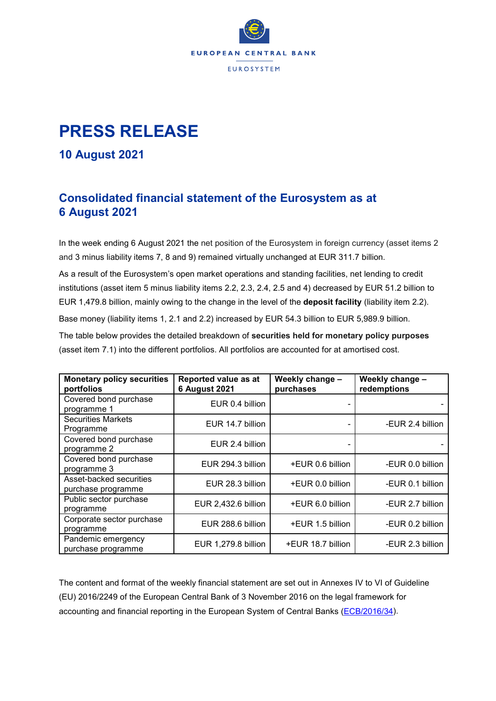

## **PRESS RELEASE**

## **10 August 2021**

## **Consolidated financial statement of the Eurosystem as at 6 August 2021**

In the week ending 6 August 2021 the net position of the Eurosystem in foreign currency (asset items 2 and 3 minus liability items 7, 8 and 9) remained virtually unchanged at EUR 311.7 billion.

As a result of the Eurosystem's open market operations and standing facilities, net lending to credit institutions (asset item 5 minus liability items 2.2, 2.3, 2.4, 2.5 and 4) decreased by EUR 51.2 billion to EUR 1,479.8 billion, mainly owing to the change in the level of the **deposit facility** (liability item 2.2). Base money (liability items 1, 2.1 and 2.2) increased by EUR 54.3 billion to EUR 5,989.9 billion. The table below provides the detailed breakdown of **securities held for monetary policy purposes** (asset item 7.1) into the different portfolios. All portfolios are accounted for at amortised cost.

| <b>Monetary policy securities</b><br>portfolios | Reported value as at<br><b>6 August 2021</b> | Weekly change -<br>purchases | Weekly change -<br>redemptions |
|-------------------------------------------------|----------------------------------------------|------------------------------|--------------------------------|
| Covered bond purchase<br>programme 1            | EUR 0.4 billion                              |                              |                                |
| <b>Securities Markets</b><br>Programme          | EUR 14.7 billion                             |                              | -EUR 2.4 billion               |
| Covered bond purchase<br>programme 2            | EUR 2.4 billion                              |                              |                                |
| Covered bond purchase<br>programme 3            | EUR 294.3 billion                            | +EUR 0.6 billion             | -EUR 0.0 billion               |
| Asset-backed securities<br>purchase programme   | EUR 28.3 billion                             | +EUR 0.0 billion             | -EUR 0.1 billion               |
| Public sector purchase<br>programme             | EUR 2,432.6 billion                          | +EUR 6.0 billion             | -EUR 2.7 billion               |
| Corporate sector purchase<br>programme          | EUR 288.6 billion                            | +EUR 1.5 billion             | -EUR 0.2 billion               |
| Pandemic emergency<br>purchase programme        | EUR 1,279.8 billion                          | +EUR 18.7 billion            | -EUR 2.3 billion               |

The content and format of the weekly financial statement are set out in Annexes IV to VI of Guideline (EU) 2016/2249 of the European Central Bank of 3 November 2016 on the legal framework for accounting and financial reporting in the European System of Central Banks [\(ECB/2016/34\)](https://eur-lex.europa.eu/legal-content/EN/TXT/?qid=1599130224518&uri=CELEX:32016O0034).